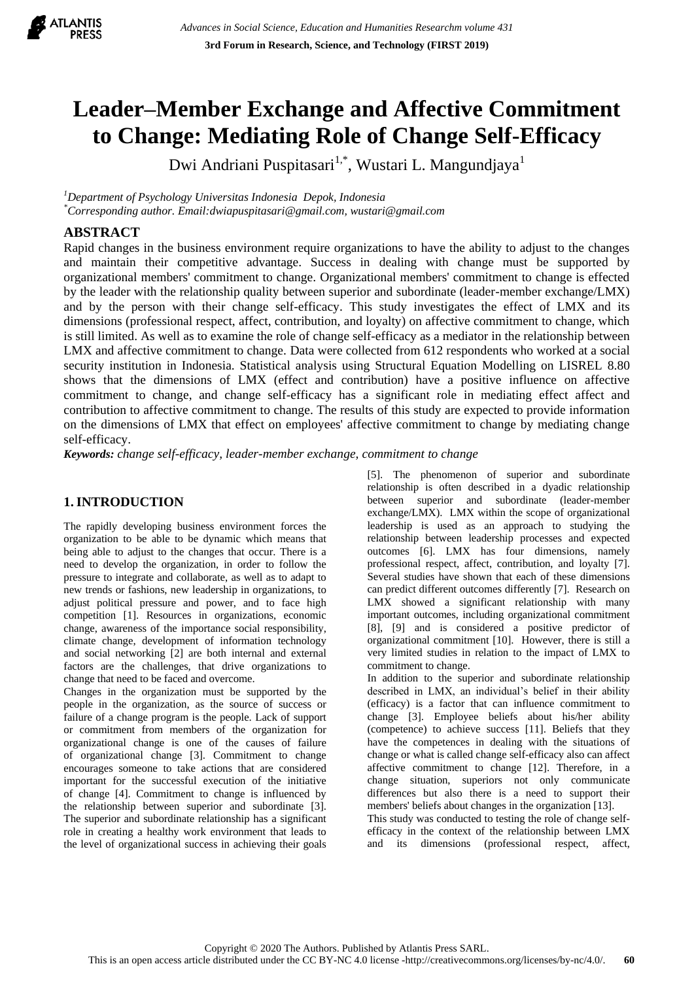

# **Leader–Member Exchange and Affective Commitment to Change: Mediating Role of Change Self-Efficacy**

Dwi Andriani Puspitasari $^{1,*}$ , Wustari L. Mangundjaya $^{\rm l}$ 

*<sup>1</sup>Department of Psychology Universitas Indonesia Depok, Indonesia*

*\*Corresponding author. Email[:dwiapuspitasari@gmail.com,](mailto:dwiapuspitasari@gmail.com) wustari@gmail.com*

## **ABSTRACT**

Rapid changes in the business environment require organizations to have the ability to adjust to the changes and maintain their competitive advantage. Success in dealing with change must be supported by organizational members' commitment to change. Organizational members' commitment to change is effected by the leader with the relationship quality between superior and subordinate (leader-member exchange/LMX) and by the person with their change self-efficacy. This study investigates the effect of LMX and its dimensions (professional respect, affect, contribution, and loyalty) on affective commitment to change, which is still limited. As well as to examine the role of change self-efficacy as a mediator in the relationship between LMX and affective commitment to change. Data were collected from 612 respondents who worked at a social security institution in Indonesia. Statistical analysis using Structural Equation Modelling on LISREL 8.80 shows that the dimensions of LMX (effect and contribution) have a positive influence on affective commitment to change, and change self-efficacy has a significant role in mediating effect affect and contribution to affective commitment to change. The results of this study are expected to provide information on the dimensions of LMX that effect on employees' affective commitment to change by mediating change self-efficacy.

*Keywords: change self-efficacy, leader-member exchange, commitment to change*

# **1. INTRODUCTION**

The rapidly developing business environment forces the organization to be able to be dynamic which means that being able to adjust to the changes that occur. There is a need to develop the organization, in order to follow the pressure to integrate and collaborate, as well as to adapt to new trends or fashions, new leadership in organizations, to adjust political pressure and power, and to face high competition [1]. Resources in organizations, economic change, awareness of the importance social responsibility, climate change, development of information technology and social networking [2] are both internal and external factors are the challenges, that drive organizations to change that need to be faced and overcome.

Changes in the organization must be supported by the people in the organization, as the source of success or failure of a change program is the people. Lack of support or commitment from members of the organization for organizational change is one of the causes of failure of organizational change [3]. Commitment to change encourages someone to take actions that are considered important for the successful execution of the initiative of change [4]. Commitment to change is influenced by the relationship between superior and subordinate [3]. The superior and subordinate relationship has a significant role in creating a healthy work environment that leads to the level of organizational success in achieving their goals

[5]. The phenomenon of superior and subordinate relationship is often described in a dyadic relationship between superior and subordinate (leader-member exchange/LMX). LMX within the scope of organizational leadership is used as an approach to studying the relationship between leadership processes and expected outcomes [6]. LMX has four dimensions, namely professional respect, affect, contribution, and loyalty [7]. Several studies have shown that each of these dimensions can predict different outcomes differently [7]. Research on LMX showed a significant relationship with many important outcomes, including organizational commitment [8], [9] and is considered a positive predictor of organizational commitment [10]. However, there is still a very limited studies in relation to the impact of LMX to commitment to change.

In addition to the superior and subordinate relationship described in LMX, an individual"s belief in their ability (efficacy) is a factor that can influence commitment to change [3]. Employee beliefs about his/her ability (competence) to achieve success [11]. Beliefs that they have the competences in dealing with the situations of change or what is called change self-efficacy also can affect affective commitment to change [12]. Therefore, in a change situation, superiors not only communicate differences but also there is a need to support their members' beliefs about changes in the organization [13].

This study was conducted to testing the role of change selfefficacy in the context of the relationship between LMX and its dimensions (professional respect, affect,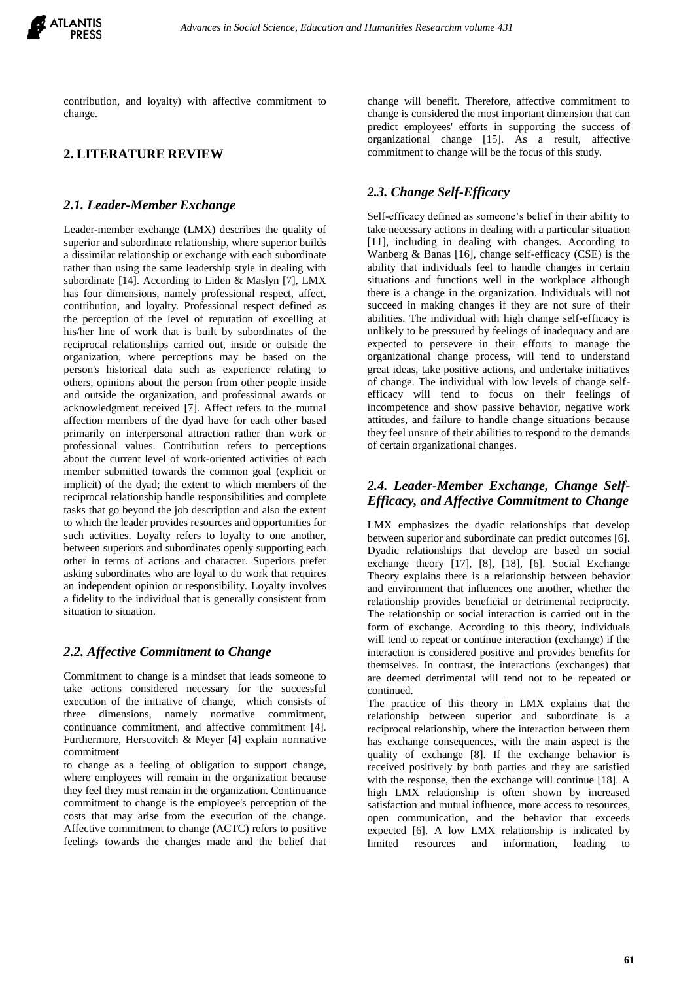

contribution, and loyalty) with affective commitment to change.

## **2. LITERATURE REVIEW**

#### *2.1. Leader-Member Exchange*

Leader-member exchange (LMX) describes the quality of superior and subordinate relationship, where superior builds a dissimilar relationship or exchange with each subordinate rather than using the same leadership style in dealing with subordinate [14]. According to Liden & Maslyn [7], LMX has four dimensions, namely professional respect, affect, contribution, and loyalty. Professional respect defined as the perception of the level of reputation of excelling at his/her line of work that is built by subordinates of the reciprocal relationships carried out, inside or outside the organization, where perceptions may be based on the person's historical data such as experience relating to others, opinions about the person from other people inside and outside the organization, and professional awards or acknowledgment received [7]. Affect refers to the mutual affection members of the dyad have for each other based primarily on interpersonal attraction rather than work or professional values. Contribution refers to perceptions about the current level of work-oriented activities of each member submitted towards the common goal (explicit or implicit) of the dyad; the extent to which members of the reciprocal relationship handle responsibilities and complete tasks that go beyond the job description and also the extent to which the leader provides resources and opportunities for such activities. Loyalty refers to loyalty to one another, between superiors and subordinates openly supporting each other in terms of actions and character. Superiors prefer asking subordinates who are loyal to do work that requires an independent opinion or responsibility. Loyalty involves a fidelity to the individual that is generally consistent from situation to situation.

#### *2.2. Affective Commitment to Change*

Commitment to change is a mindset that leads someone to take actions considered necessary for the successful execution of the initiative of change, which consists of three dimensions, namely normative commitment, continuance commitment, and affective commitment [4]. Furthermore, Herscovitch & Meyer [4] explain normative commitment

to change as a feeling of obligation to support change, where employees will remain in the organization because they feel they must remain in the organization. Continuance commitment to change is the employee's perception of the costs that may arise from the execution of the change. Affective commitment to change (ACTC) refers to positive feelings towards the changes made and the belief that change will benefit. Therefore, affective commitment to change is considered the most important dimension that can predict employees' efforts in supporting the success of organizational change [15]. As a result, affective commitment to change will be the focus of this study.

## *2.3. Change Self-Efficacy*

Self-efficacy defined as someone's belief in their ability to take necessary actions in dealing with a particular situation [11], including in dealing with changes. According to Wanberg & Banas [16], change self-efficacy (CSE) is the ability that individuals feel to handle changes in certain situations and functions well in the workplace although there is a change in the organization. Individuals will not succeed in making changes if they are not sure of their abilities. The individual with high change self-efficacy is unlikely to be pressured by feelings of inadequacy and are expected to persevere in their efforts to manage the organizational change process, will tend to understand great ideas, take positive actions, and undertake initiatives of change. The individual with low levels of change selfefficacy will tend to focus on their feelings of incompetence and show passive behavior, negative work attitudes, and failure to handle change situations because they feel unsure of their abilities to respond to the demands of certain organizational changes.

## *2.4. Leader-Member Exchange, Change Self-Efficacy, and Affective Commitment to Change*

LMX emphasizes the dyadic relationships that develop between superior and subordinate can predict outcomes [6]. Dyadic relationships that develop are based on social exchange theory [17], [8], [18], [6]. Social Exchange Theory explains there is a relationship between behavior and environment that influences one another, whether the relationship provides beneficial or detrimental reciprocity. The relationship or social interaction is carried out in the form of exchange. According to this theory, individuals will tend to repeat or continue interaction (exchange) if the interaction is considered positive and provides benefits for themselves. In contrast, the interactions (exchanges) that are deemed detrimental will tend not to be repeated or continued.

The practice of this theory in LMX explains that the relationship between superior and subordinate is a reciprocal relationship, where the interaction between them has exchange consequences, with the main aspect is the quality of exchange [8]. If the exchange behavior is received positively by both parties and they are satisfied with the response, then the exchange will continue [18]. A high LMX relationship is often shown by increased satisfaction and mutual influence, more access to resources, open communication, and the behavior that exceeds expected [6]. A low LMX relationship is indicated by limited resources and information, leading to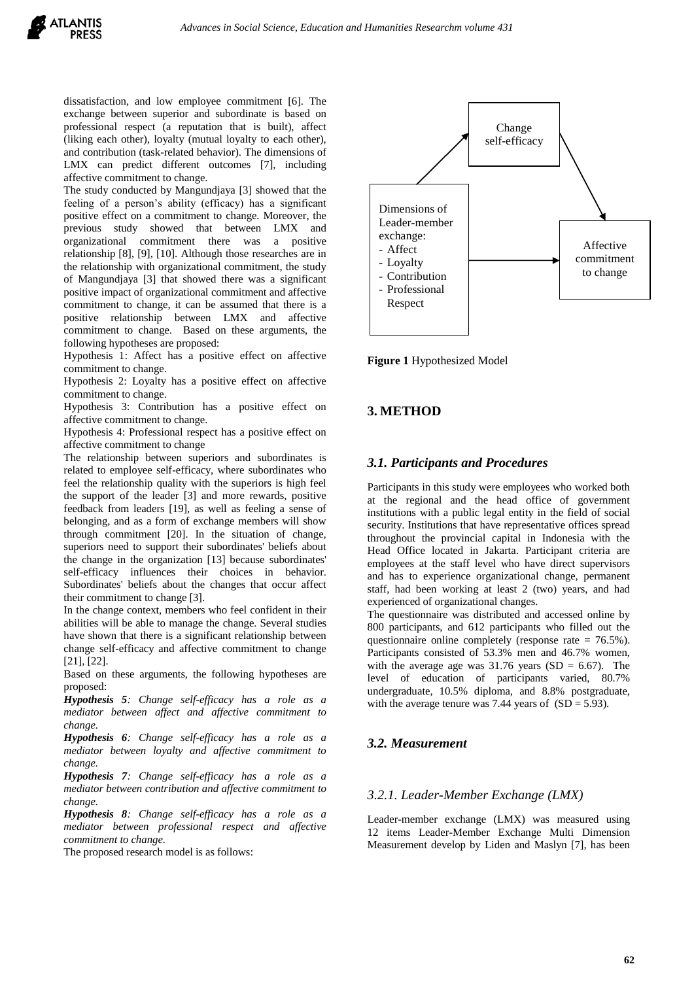dissatisfaction, and low employee commitment [6]. The exchange between superior and subordinate is based on professional respect (a reputation that is built), affect (liking each other), loyalty (mutual loyalty to each other), and contribution (task-related behavior). The dimensions of LMX can predict different outcomes [7], including affective commitment to change.

The study conducted by Mangundjaya [3] showed that the feeling of a person's ability (efficacy) has a significant positive effect on a commitment to change. Moreover, the previous study showed that between LMX and organizational commitment there was a positive relationship [8], [9], [10]. Although those researches are in the relationship with organizational commitment, the study of Mangundjaya [3] that showed there was a significant positive impact of organizational commitment and affective commitment to change, it can be assumed that there is a positive relationship between LMX and affective commitment to change. Based on these arguments, the following hypotheses are proposed:

Hypothesis 1: Affect has a positive effect on affective commitment to change.

Hypothesis 2: Loyalty has a positive effect on affective commitment to change.

Hypothesis 3: Contribution has a positive effect on affective commitment to change.

Hypothesis 4: Professional respect has a positive effect on affective commitment to change

The relationship between superiors and subordinates is related to employee self-efficacy, where subordinates who feel the relationship quality with the superiors is high feel the support of the leader [3] and more rewards, positive feedback from leaders [19], as well as feeling a sense of belonging, and as a form of exchange members will show through commitment [20]. In the situation of change, superiors need to support their subordinates' beliefs about the change in the organization [13] because subordinates' self-efficacy influences their choices in behavior. Subordinates' beliefs about the changes that occur affect their commitment to change [3].

In the change context, members who feel confident in their abilities will be able to manage the change. Several studies have shown that there is a significant relationship between change self-efficacy and affective commitment to change [21], [22].

Based on these arguments, the following hypotheses are proposed:

*Hypothesis 5: Change self-efficacy has a role as a mediator between affect and affective commitment to change.*

*Hypothesis 6: Change self-efficacy has a role as a mediator between loyalty and affective commitment to change.*

*Hypothesis 7: Change self-efficacy has a role as a mediator between contribution and affective commitment to change.*

*Hypothesis 8: Change self-efficacy has a role as a mediator between professional respect and affective commitment to change.*

The proposed research model is as follows:



**Figure 1** Hypothesized Model

# **3. METHOD**

## *3.1. Participants and Procedures*

Participants in this study were employees who worked both at the regional and the head office of government institutions with a public legal entity in the field of social security. Institutions that have representative offices spread throughout the provincial capital in Indonesia with the Head Office located in Jakarta. Participant criteria are employees at the staff level who have direct supervisors and has to experience organizational change, permanent staff, had been working at least 2 (two) years, and had experienced of organizational changes.

The questionnaire was distributed and accessed online by 800 participants, and 612 participants who filled out the questionnaire online completely (response rate = 76.5%). Participants consisted of 53.3% men and 46.7% women, with the average age was  $31.76$  years (SD = 6.67). The level of education of participants varied, 80.7% undergraduate, 10.5% diploma, and 8.8% postgraduate, with the average tenure was 7.44 years of  $(SD = 5.93)$ .

## *3.2. Measurement*

#### *3.2.1. Leader-Member Exchange (LMX)*

Leader-member exchange (LMX) was measured using 12 items Leader-Member Exchange Multi Dimension Measurement develop by Liden and Maslyn [7], has been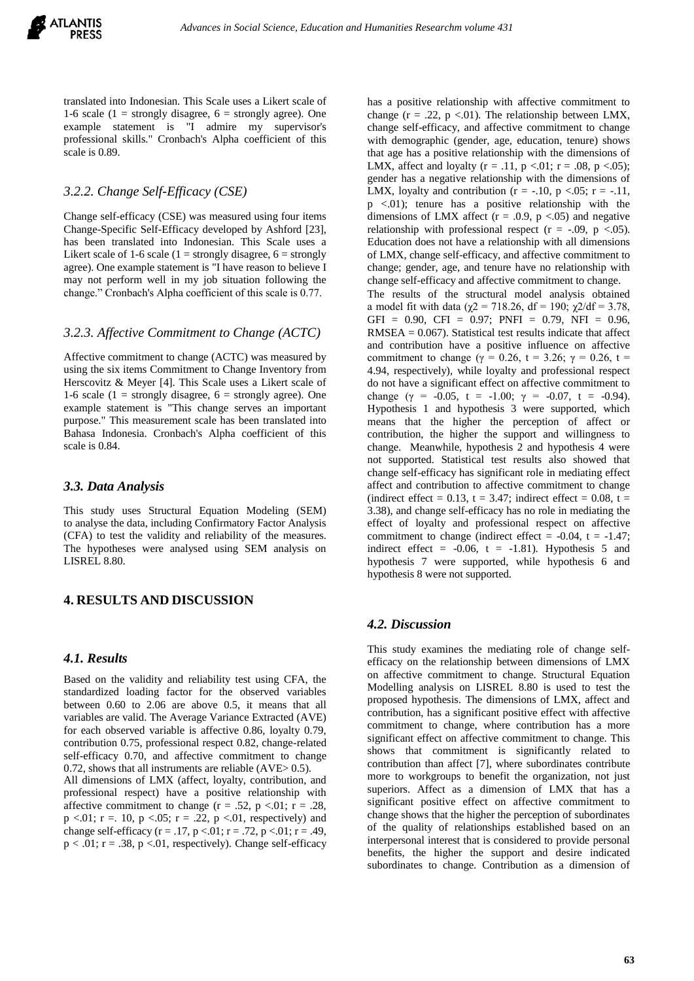translated into Indonesian. This Scale uses a Likert scale of 1-6 scale (1 = strongly disagree,  $6$  = strongly agree). One example statement is "I admire my supervisor's professional skills." Cronbach's Alpha coefficient of this scale is 0.89.

## *3.2.2. Change Self-Efficacy (CSE)*

Change self-efficacy (CSE) was measured using four items Change-Specific Self-Efficacy developed by Ashford [23], has been translated into Indonesian. This Scale uses a Likert scale of 1-6 scale (1 = strongly disagree,  $6 =$  strongly agree). One example statement is "I have reason to believe I may not perform well in my job situation following the change." Cronbach's Alpha coefficient of this scale is 0.77.

## *3.2.3. Affective Commitment to Change (ACTC)*

Affective commitment to change (ACTC) was measured by using the six items Commitment to Change Inventory from Herscovitz & Meyer [4]. This Scale uses a Likert scale of 1-6 scale (1 = strongly disagree,  $6$  = strongly agree). One example statement is "This change serves an important purpose." This measurement scale has been translated into Bahasa Indonesia. Cronbach's Alpha coefficient of this scale is 0.84.

#### *3.3. Data Analysis*

This study uses Structural Equation Modeling (SEM) to analyse the data, including Confirmatory Factor Analysis (CFA) to test the validity and reliability of the measures. The hypotheses were analysed using SEM analysis on LISREL 8.80.

## **4. RESULTS AND DISCUSSION**

#### *4.1. Results*

Based on the validity and reliability test using CFA, the standardized loading factor for the observed variables between 0.60 to 2.06 are above 0.5, it means that all variables are valid. The Average Variance Extracted (AVE) for each observed variable is affective 0.86, loyalty 0.79, contribution 0.75, professional respect 0.82, change-related self-efficacy 0.70, and affective commitment to change 0.72, shows that all instruments are reliable (AVE> 0.5). All dimensions of LMX (affect, loyalty, contribution, and professional respect) have a positive relationship with affective commitment to change ( $r = .52$ ,  $p < .01$ ;  $r = .28$ ,  $p < .01$ ; r = .10, p < .05; r = .22, p < .01, respectively) and change self-efficacy ( $r = .17$ ,  $p < .01$ ;  $r = .72$ ,  $p < .01$ ;  $r = .49$ ,  $p < .01$ ;  $r = .38$ ,  $p < .01$ , respectively). Change self-efficacy has a positive relationship with affective commitment to change ( $r = .22$ ,  $p < .01$ ). The relationship between LMX, change self-efficacy, and affective commitment to change with demographic (gender, age, education, tenure) shows that age has a positive relationship with the dimensions of LMX, affect and loyalty ( $r = .11$ ,  $p < .01$ ;  $r = .08$ ,  $p < .05$ ); gender has a negative relationship with the dimensions of LMX, loyalty and contribution ( $r = -.10$ ,  $p < .05$ ;  $r = -.11$ , p <.01); tenure has a positive relationship with the dimensions of LMX affect ( $r = .0.9$ ,  $p < .05$ ) and negative relationship with professional respect  $(r = -.09, p < .05)$ . Education does not have a relationship with all dimensions of LMX, change self-efficacy, and affective commitment to change; gender, age, and tenure have no relationship with change self-efficacy and affective commitment to change.

The results of the structural model analysis obtained a model fit with data ( $\gamma$ 2 = 718.26, df = 190;  $\gamma$ 2/df = 3.78, GFI =  $0.90$ , CFI =  $0.97$ ; PNFI =  $0.79$ , NFI =  $0.96$ ,  $RMSEA = 0.067$ . Statistical test results indicate that affect and contribution have a positive influence on affective commitment to change (γ = 0.26, t = 3.26; γ = 0.26, t = 4.94, respectively), while loyalty and professional respect do not have a significant effect on affective commitment to change ( $\gamma = -0.05$ ,  $t = -1.00$ ;  $\gamma = -0.07$ ,  $t = -0.94$ ). Hypothesis 1 and hypothesis 3 were supported, which means that the higher the perception of affect or contribution, the higher the support and willingness to change. Meanwhile, hypothesis 2 and hypothesis 4 were not supported. Statistical test results also showed that change self-efficacy has significant role in mediating effect affect and contribution to affective commitment to change (indirect effect =  $0.13$ , t = 3.47; indirect effect =  $0.08$ , t = 3.38), and change self-efficacy has no role in mediating the effect of loyalty and professional respect on affective commitment to change (indirect effect  $= -0.04$ ,  $t = -1.47$ ; indirect effect =  $-0.06$ , t =  $-1.81$ ). Hypothesis 5 and hypothesis 7 were supported, while hypothesis 6 and hypothesis 8 were not supported.

#### *4.2. Discussion*

This study examines the mediating role of change selfefficacy on the relationship between dimensions of LMX on affective commitment to change. Structural Equation Modelling analysis on LISREL 8.80 is used to test the proposed hypothesis. The dimensions of LMX, affect and contribution, has a significant positive effect with affective commitment to change, where contribution has a more significant effect on affective commitment to change. This shows that commitment is significantly related to contribution than affect [7], where subordinates contribute more to workgroups to benefit the organization, not just superiors. Affect as a dimension of LMX that has a significant positive effect on affective commitment to change shows that the higher the perception of subordinates of the quality of relationships established based on an interpersonal interest that is considered to provide personal benefits, the higher the support and desire indicated subordinates to change. Contribution as a dimension of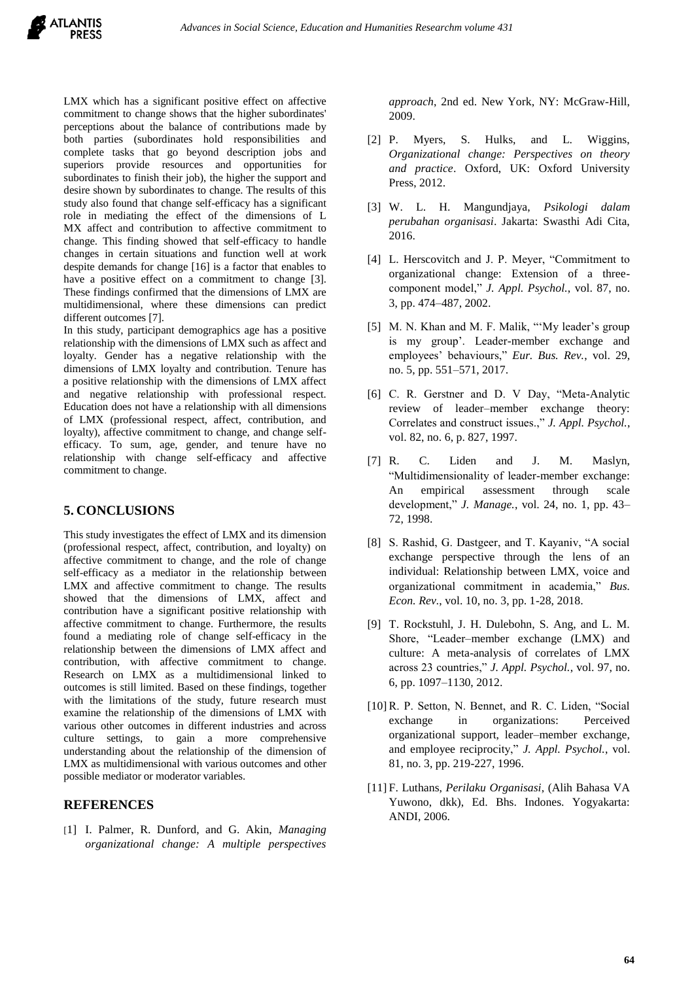LMX which has a significant positive effect on affective commitment to change shows that the higher subordinates' perceptions about the balance of contributions made by both parties (subordinates hold responsibilities and complete tasks that go beyond description jobs and superiors provide resources and opportunities for subordinates to finish their job), the higher the support and desire shown by subordinates to change. The results of this study also found that change self-efficacy has a significant role in mediating the effect of the dimensions of L MX affect and contribution to affective commitment to change. This finding showed that self-efficacy to handle changes in certain situations and function well at work despite demands for change [16] is a factor that enables to have a positive effect on a commitment to change [3]. These findings confirmed that the dimensions of LMX are multidimensional, where these dimensions can predict different outcomes [7].

In this study, participant demographics age has a positive relationship with the dimensions of LMX such as affect and loyalty. Gender has a negative relationship with the dimensions of LMX loyalty and contribution. Tenure has a positive relationship with the dimensions of LMX affect and negative relationship with professional respect. Education does not have a relationship with all dimensions of LMX (professional respect, affect, contribution, and loyalty), affective commitment to change, and change selfefficacy. To sum, age, gender, and tenure have no relationship with change self-efficacy and affective commitment to change.

## **5. CONCLUSIONS**

This study investigates the effect of LMX and its dimension (professional respect, affect, contribution, and loyalty) on affective commitment to change, and the role of change self-efficacy as a mediator in the relationship between LMX and affective commitment to change. The results showed that the dimensions of LMX, affect and contribution have a significant positive relationship with affective commitment to change. Furthermore, the results found a mediating role of change self-efficacy in the relationship between the dimensions of LMX affect and contribution, with affective commitment to change. Research on LMX as a multidimensional linked to outcomes is still limited. Based on these findings, together with the limitations of the study, future research must examine the relationship of the dimensions of LMX with various other outcomes in different industries and across culture settings, to gain a more comprehensive understanding about the relationship of the dimension of LMX as multidimensional with various outcomes and other possible mediator or moderator variables.

#### **REFERENCES**

[1] I. Palmer, R. Dunford, and G. Akin, *Managing organizational change: A multiple perspectives*  *approach*, 2nd ed. New York, NY: McGraw-Hill, 2009.

- [2] P. Myers, S. Hulks, and L. Wiggins, *Organizational change: Perspectives on theory and practice*. Oxford, UK: Oxford University Press, 2012.
- [3] W. L. H. Mangundjaya, *Psikologi dalam perubahan organisasi*. Jakarta: Swasthi Adi Cita, 2016.
- [4] L. Herscovitch and J. P. Meyer, "Commitment to organizational change: Extension of a threecomponent model," *J. Appl. Psychol.*, vol. 87, no. 3, pp. 474–487, 2002.
- [5] M. N. Khan and M. F. Malik, "'My leader's group is my group'. Leader-member exchange and employees' behaviours," *Eur. Bus. Rev.*, vol. 29, no. 5, pp. 551–571, 2017.
- [6] C. R. Gerstner and D. V Day, "Meta-Analytic review of leader–member exchange theory: Correlates and construct issues.," *J. Appl. Psychol.*, vol. 82, no. 6, p. 827, 1997.
- [7] R. C. Liden and J. M. Maslyn, "Multidimensionality of leader-member exchange: An empirical assessment through scale development," *J. Manage.*, vol. 24, no. 1, pp. 43– 72, 1998.
- [8] S. Rashid, G. Dastgeer, and T. Kayaniv, "A social exchange perspective through the lens of an individual: Relationship between LMX, voice and organizational commitment in academia," *Bus. Econ. Rev.*, vol. 10, no. 3, pp. 1-28, 2018.
- [9] T. Rockstuhl, J. H. Dulebohn, S. Ang, and L. M. Shore, "Leader–member exchange (LMX) and culture: A meta-analysis of correlates of LMX across 23 countries," *J. Appl. Psychol.*, vol. 97, no. 6, pp. 1097–1130, 2012.
- [10] R. P. Setton, N. Bennet, and R. C. Liden, "Social exchange in organizations: Perceived organizational support, leader–member exchange, and employee reciprocity," *J. Appl. Psychol.*, vol. 81, no. 3, pp. 219-227, 1996.
- [11] F. Luthans, *Perilaku Organisasi*, (Alih Bahasa VA Yuwono, dkk), Ed. Bhs. Indones. Yogyakarta: ANDI, 2006.